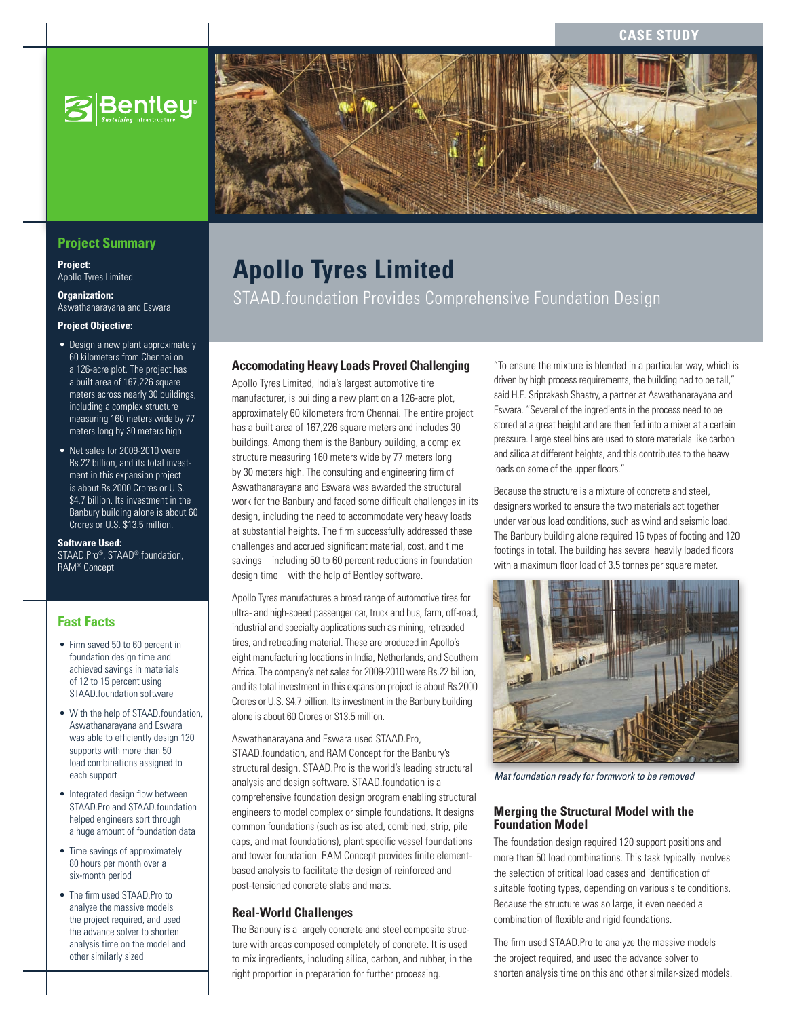**CASE STUD** 



# **Project Summary**

**Project:** Apollo Tyres Limited

**Organization:** Aswathanarayana and Eswara

**Project Objective:**

- Design a new plant approximately 60 kilometers from Chennai on a 126-acre plot. The project has a built area of 167,226 square meters across nearly 30 buildings, including a complex structure measuring 160 meters wide by 77 meters long by 30 meters high.
- Net sales for 2009-2010 were Rs.22 billion, and its total investment in this expansion project is about Rs.2000 Crores or U.S. \$4.7 billion. Its investment in the Banbury building alone is about 60 Crores or U.S. \$13.5 million.

**Software Used:**

STAAD.Pro®, STAAD®.foundation, RAM® Concept

# **Fast Facts**

- Firm saved 50 to 60 percent in foundation design time and achieved savings in materials of 12 to 15 percent using STAAD.foundation software
- With the help of STAAD.foundation. Aswathanarayana and Eswara was able to efficiently design 120 supports with more than 50 load combinations assigned to each support
- Integrated design flow between STAAD.Pro and STAAD.foundation helped engineers sort through a huge amount of foundation data
- Time savings of approximately 80 hours per month over a six-month period
- • The firm used STAAD.Pro to analyze the massive models the project required, and used the advance solver to shorten analysis time on the model and other similarly sized

# **Apollo Tyres Limited**

STAAD.foundation Provides Comprehensive Foundation Design

### **Accomodating Heavy Loads Proved Challenging**

Apollo Tyres Limited, India's largest automotive tire manufacturer, is building a new plant on a 126-acre plot, approximately 60 kilometers from Chennai. The entire project has a built area of 167,226 square meters and includes 30 buildings. Among them is the Banbury building, a complex structure measuring 160 meters wide by 77 meters long by 30 meters high. The consulting and engineering firm of Aswathanarayana and Eswara was awarded the structural work for the Banbury and faced some difficult challenges in its design, including the need to accommodate very heavy loads at substantial heights. The firm successfully addressed these challenges and accrued significant material, cost, and time savings – including 50 to 60 percent reductions in foundation design time – with the help of Bentley software.

Apollo Tyres manufactures a broad range of automotive tires for ultra- and high-speed passenger car, truck and bus, farm, off-road, industrial and specialty applications such as mining, retreaded tires, and retreading material. These are produced in Apollo's eight manufacturing locations in India, Netherlands, and Southern Africa. The company's net sales for 2009-2010 were Rs.22 billion, and its total investment in this expansion project is about Rs.2000 Crores or U.S. \$4.7 billion. Its investment in the Banbury building alone is about 60 Crores or \$13.5 million.

Aswathanarayana and Eswara used STAAD.Pro, STAAD.foundation, and RAM Concept for the Banbury's structural design. STAAD.Pro is the world's leading structural analysis and design software. STAAD.foundation is a comprehensive foundation design program enabling structural engineers to model complex or simple foundations. It designs common foundations (such as isolated, combined, strip, pile caps, and mat foundations), plant specific vessel foundations and tower foundation. RAM Concept provides finite elementbased analysis to facilitate the design of reinforced and post-tensioned concrete slabs and mats.

### **Real-World Challenges**

The Banbury is a largely concrete and steel composite structure with areas composed completely of concrete. It is used to mix ingredients, including silica, carbon, and rubber, in the right proportion in preparation for further processing.

"To ensure the mixture is blended in a particular way, which is driven by high process requirements, the building had to be tall," said H.E. Sriprakash Shastry, a partner at Aswathanarayana and Eswara. "Several of the ingredients in the process need to be stored at a great height and are then fed into a mixer at a certain pressure. Large steel bins are used to store materials like carbon and silica at different heights, and this contributes to the heavy loads on some of the upper floors."

Because the structure is a mixture of concrete and steel, designers worked to ensure the two materials act together under various load conditions, such as wind and seismic load. The Banbury building alone required 16 types of footing and 120 footings in total. The building has several heavily loaded floors with a maximum floor load of 3.5 tonnes per square meter.



*Mat foundation ready for formwork to be removed*

#### **Merging the Structural Model with the Foundation Model**

The foundation design required 120 support positions and more than 50 load combinations. This task typically involves the selection of critical load cases and identification of suitable footing types, depending on various site conditions. Because the structure was so large, it even needed a combination of flexible and rigid foundations.

The firm used STAAD.Pro to analyze the massive models the project required, and used the advance solver to shorten analysis time on this and other similar-sized models.